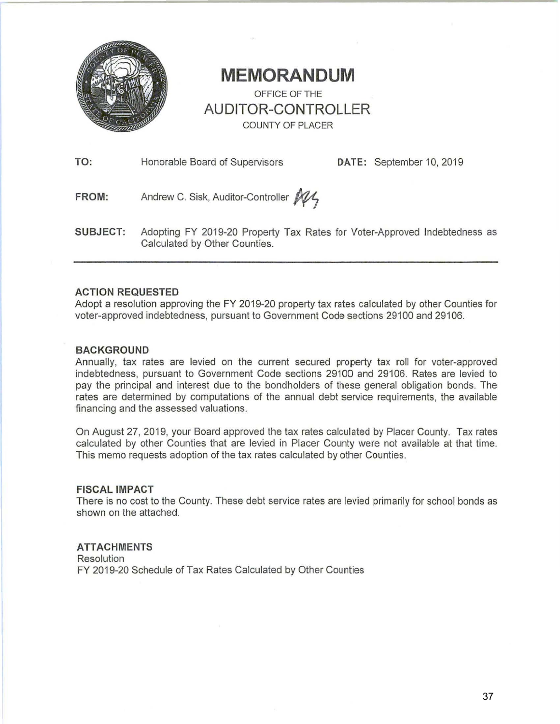

## **MEMORANDUM**  OFFICE OF THE **AUDITOR-CONTROLLER**  COUNTY OF PLACER

**TO:** Honorable Board of Supervisors **DATE:** September 10, 2019

FROM: Andrew C. Sisk, Auditor-Controller M1

**SUBJECT:** Adopting FY 2019-20 Property Tax Rates for Voter-Approved Indebtedness as Calculated by Other Counties.

### **ACTION REQUESTED**

Adopt a resolution approving the FY 2019-20 property tax rates calculated by other Counties for voter-approved indebtedness, pursuant to Government Code sections 29100 and 29106.

### **BACKGROUND**

Annually, tax rates are levied on the current secured property tax roll for voter-approved indebtedness, pursuant to Government Code sections 29100 and 29106. Rates are levied to pay the principal and interest due to the bondholders of these general obligation bonds. The rates are determined by computations of the annual debt service requirements, the available financing and the assessed valuations.

On August 27, 2019, your Board approved the tax rates calculated by Placer County. Tax rates calculated by other Counties that are levied in Placer County were not available at that time. This memo requests adoption of the tax rates calculated by other Counties.

### **FISCAL IMPACT**

There is no cost to the County. These debt service rates are levied primarily for school bonds as shown on the attached.

### **ATTACHMENTS**

Resolution FY 2019-20 Schedule of Tax Rates Calculated by Other Counties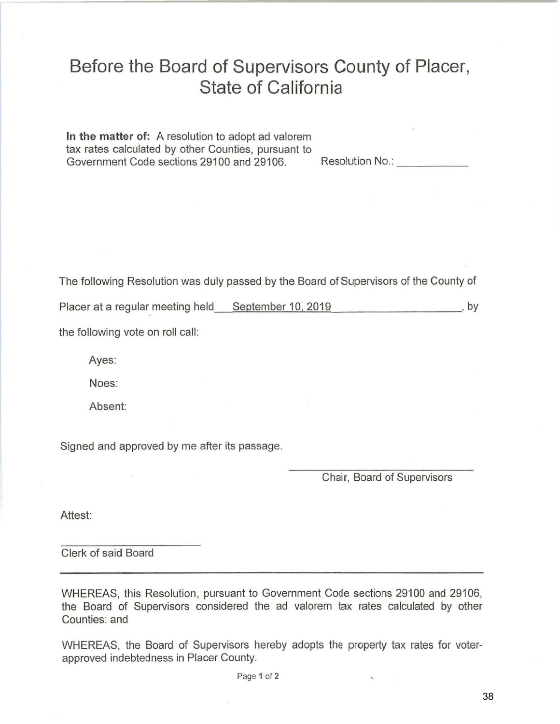# Before the Board of Supervisors County of Placer, **State of California**

In the matter of: A resolution to adopt ad valorem tax rates calculated by other Counties, pursuant to Government Code sections 29100 and 29106.

The following Resolution was duly passed by the Board of Supervisors of the County of

Placer at a regular meeting held September 10, 2019  $, by$ 

the following vote on roll call:

Ayes:

Noes:

Absent:

Signed and approved by me after its passage.

Chair, Board of Supervisors

Attest:

Clerk of said Board

WHEREAS, this Resolution, pursuant to Government Code sections 29100 and 29106, the Board of Supervisors considered the ad valorem tax rates calculated by other Counties: and

WHEREAS, the Board of Supervisors hereby adopts the property tax rates for voterapproved indebtedness in Placer County.

Page 1 of 2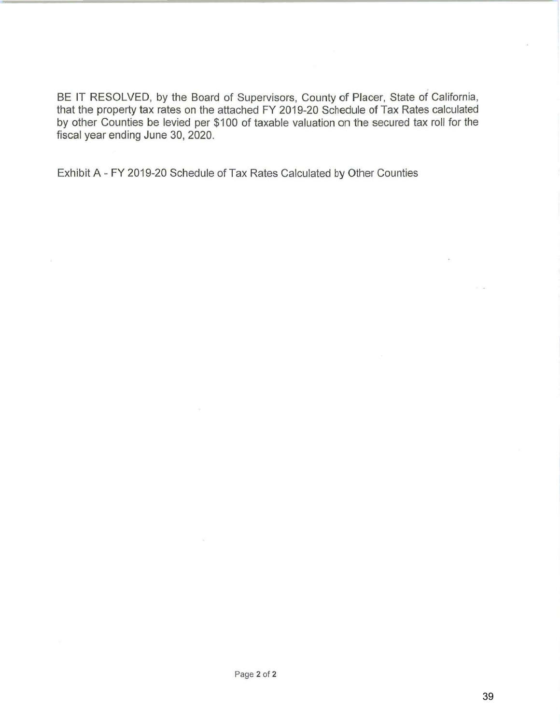BE IT RESOLVED, by the Board of Supervisors, County of Placer, State of California, that the property tax rates on the attached FY 2019-20 Schedule of Tax Rates calculated by other Counties be levied per \$100 of taxable valuation on the secured tax roll for the fiscal year ending June 30, 2020.

Exhibit A- FY 2019-20 Schedule of Tax Rates Calculated by Other Counties